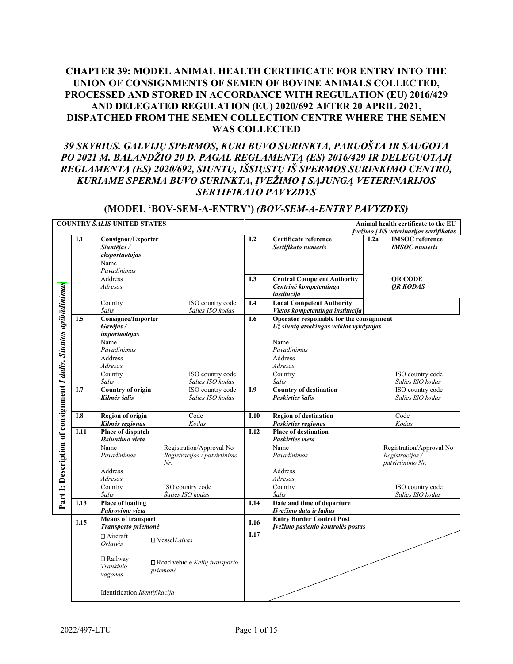# **CHAPTER 39: MODEL ANIMAL HEALTH CERTIFICATE FOR ENTRY INTO THE UNION OF CONSIGNMENTS OF SEMEN OF BOVINE ANIMALS COLLECTED, PROCESSED AND STORED IN ACCORDANCE WITH REGULATION (EU) 2016/429 AND DELEGATED REGULATION (EU) 2020/692 AFTER 20 APRIL 2021, DISPATCHED FROM THE SEMEN COLLECTION CENTRE WHERE THE SEMEN WAS COLLECTED**

# *39 SKYRIUS. GALVIJŲ SPERMOS, KURI BUVO SURINKTA, PARUOŠTA IR SAUGOTA PO 2021 M. BALANDŽIO 20 D. PAGAL REGLAMENTĄ (ES) 2016/429 IR DELEGUOTĄJĮ REGLAMENTĄ (ES) 2020/692, SIUNTŲ, IŠSIŲSTŲ IŠ SPERMOS SURINKIMO CENTRO, KURIAME SPERMA BUVO SURINKTA, ĮVEŽIMO Į SĄJUNGĄ VETERINARIJOS SERTIFIKATO PAVYZDYS*

# **(MODEL 'BOV-SEM-A-ENTRY')** *(BOV-SEM-A-ENTRY PAVYZDYS)*

|                                                                  | <b>COUNTRY SALIS UNITED STATES</b> |                                        |                                      |                   | Animal health certificate to the EU                                                 |                                                        |  |  |
|------------------------------------------------------------------|------------------------------------|----------------------------------------|--------------------------------------|-------------------|-------------------------------------------------------------------------------------|--------------------------------------------------------|--|--|
|                                                                  |                                    |                                        |                                      |                   |                                                                                     | Įvežimo į ES veterinarijos sertifikatas                |  |  |
|                                                                  | I.1                                | Consignor/Exporter<br>Siuntėjas /      |                                      | I.2               | Certificate reference<br>Sertifikato numeris                                        | <b>IMSOC</b> reference<br>I.2a<br><b>IMSOC</b> numeris |  |  |
|                                                                  |                                    | eksportuotojas                         |                                      |                   |                                                                                     |                                                        |  |  |
|                                                                  |                                    | Name                                   |                                      |                   |                                                                                     |                                                        |  |  |
|                                                                  |                                    | Pavadinimas                            |                                      |                   |                                                                                     |                                                        |  |  |
|                                                                  |                                    | Address                                |                                      | I.3               | <b>Central Competent Authority</b>                                                  | QR CODE                                                |  |  |
| Part I: Description of consignment I dalis. Siuntos apibūdinimas |                                    | Adresas                                |                                      |                   | Centrinė kompetentinga<br>institucija                                               | <b>OR KODAS</b>                                        |  |  |
|                                                                  |                                    | Country                                | ISO country code                     | I.4               | <b>Local Competent Authority</b>                                                    |                                                        |  |  |
|                                                                  | I.5                                | Šalis                                  | Šalies ISO kodas                     | I.6               | Vietos kompetentinga institucija                                                    |                                                        |  |  |
|                                                                  |                                    | <b>Consignee/Importer</b><br>Gavėjas / |                                      |                   | Operator responsible for the consignment<br>Už siuntą atsakingas veiklos vykdytojas |                                                        |  |  |
|                                                                  |                                    | importuotojas                          |                                      |                   |                                                                                     |                                                        |  |  |
|                                                                  |                                    | Name                                   |                                      |                   | Name                                                                                |                                                        |  |  |
|                                                                  |                                    | Pavadinimas                            |                                      |                   | Pavadinimas                                                                         |                                                        |  |  |
|                                                                  |                                    | Address                                |                                      |                   | Address                                                                             |                                                        |  |  |
|                                                                  |                                    | Adresas                                |                                      |                   | Adresas                                                                             |                                                        |  |  |
|                                                                  |                                    | Country                                | ISO country code                     |                   | Country                                                                             | ISO country code                                       |  |  |
|                                                                  |                                    | Šalis                                  | Šalies ISO kodas                     |                   | Šalis                                                                               | Šalies ISO kodas                                       |  |  |
|                                                                  | I.7                                | <b>Country of origin</b>               | ISO country code                     | I.9               | <b>Country of destination</b>                                                       | ISO country code                                       |  |  |
|                                                                  |                                    | Kilmės šalis                           | Šalies ISO kodas                     |                   | <b>Paskirties šalis</b>                                                             | Šalies ISO kodas                                       |  |  |
|                                                                  |                                    |                                        |                                      |                   |                                                                                     |                                                        |  |  |
|                                                                  | <b>I.8</b>                         | <b>Region of origin</b>                | Code                                 | I.10              | <b>Region of destination</b>                                                        | Code                                                   |  |  |
|                                                                  |                                    | Kilmės regionas                        | Kodas                                |                   | Paskirties regionas                                                                 | Kodas                                                  |  |  |
|                                                                  | I.11                               | Place of dispatch                      |                                      | $\overline{1.12}$ | <b>Place of destination</b>                                                         |                                                        |  |  |
|                                                                  |                                    | Išsiuntimo vieta                       |                                      |                   | <b>Paskirties vieta</b>                                                             |                                                        |  |  |
|                                                                  |                                    | Name                                   | Registration/Approval No             |                   | Name                                                                                | Registration/Approval No                               |  |  |
|                                                                  |                                    | Pavadinimas                            | Registracijos / patvirtinimo         |                   | Pavadinimas                                                                         | Registracijos /                                        |  |  |
|                                                                  |                                    |                                        | Nr.                                  |                   |                                                                                     | patvirtinimo Nr.                                       |  |  |
|                                                                  |                                    | Address<br>Adresas                     |                                      |                   | Address<br>Adresas                                                                  |                                                        |  |  |
|                                                                  |                                    | Country                                | ISO country code                     |                   | Country                                                                             | ISO country code                                       |  |  |
|                                                                  |                                    | Šalis                                  | Šalies ISO kodas                     |                   | Šalis                                                                               | Šalies ISO kodas                                       |  |  |
|                                                                  | I.13                               | <b>Place of loading</b>                |                                      | I.14              | Date and time of departure                                                          |                                                        |  |  |
|                                                                  |                                    | Pakrovimo vieta                        |                                      |                   | Išvežimo data ir laikas                                                             |                                                        |  |  |
|                                                                  | I.15                               | <b>Means of transport</b>              |                                      | I.16              | <b>Entry Border Control Post</b>                                                    |                                                        |  |  |
|                                                                  |                                    | Transporto priemonė                    |                                      |                   | Įvežimo pasienio kontrolės postas                                                   |                                                        |  |  |
|                                                                  |                                    | $\Box$ Aircraft                        | $\square$ VesselLaivas               | I.17              |                                                                                     |                                                        |  |  |
|                                                                  |                                    | <b>Orlaivis</b>                        |                                      |                   |                                                                                     |                                                        |  |  |
|                                                                  |                                    | $\Box$ Railway                         | $\Box$ Road vehicle Kelių transporto |                   |                                                                                     |                                                        |  |  |
|                                                                  |                                    | Traukinio                              | priemonė                             |                   |                                                                                     |                                                        |  |  |
|                                                                  |                                    | vagonas                                |                                      |                   |                                                                                     |                                                        |  |  |
|                                                                  |                                    |                                        |                                      |                   |                                                                                     |                                                        |  |  |
|                                                                  |                                    | Identification Identifikacija          |                                      |                   |                                                                                     |                                                        |  |  |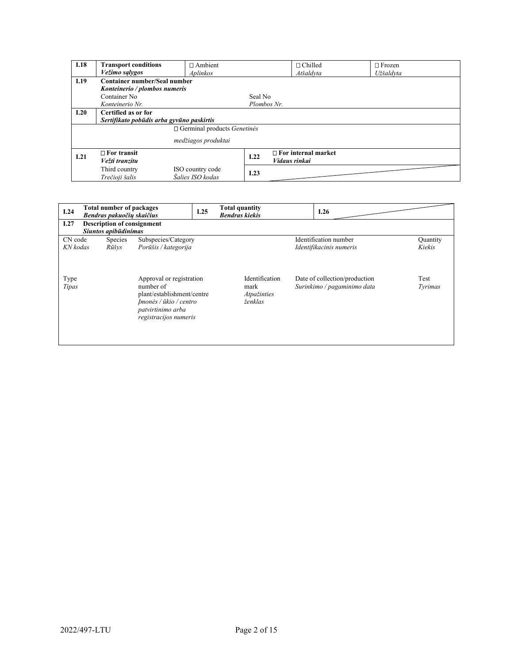| I.18 | <b>Transport conditions</b>               | $\Box$ Ambient      |             | $\Box$ Chilled             | $\Box$ Frozen |  |  |
|------|-------------------------------------------|---------------------|-------------|----------------------------|---------------|--|--|
|      | Vežimo sąlygos                            | Aplinkos            |             | Atšaldyta                  | Užšaldvta     |  |  |
| I.19 | Container number/Seal number              |                     |             |                            |               |  |  |
|      | Konteinerio / plombos numeris             |                     |             |                            |               |  |  |
|      | Container No                              |                     | Seal No     |                            |               |  |  |
|      | Konteinerio Nr.                           |                     | Plombos Nr. |                            |               |  |  |
| I.20 | Certified as or for                       |                     |             |                            |               |  |  |
|      | Sertifikato pobūdis arba gyvūno paskirtis |                     |             |                            |               |  |  |
|      | $\Box$ Germinal products <i>Genetines</i> |                     |             |                            |               |  |  |
|      |                                           |                     |             |                            |               |  |  |
|      |                                           | medžiagos produktai |             |                            |               |  |  |
| 1.21 | $\Box$ For transit                        |                     | I.22        | $\Box$ For internal market |               |  |  |
|      | Vežti tranzitu                            |                     |             | Vidaus rinkai              |               |  |  |
|      | Third country                             | ISO country code    |             |                            |               |  |  |
|      | Trečioji šalis                            | Šalies ISO kodas    | I.23        |                            |               |  |  |

| I.24          | <b>Total number of packages</b><br>Bendras pakuočių skaičius |                | I.25                                                                                                                                        | <b>Total quantity</b><br><b>Bendras kiekis</b> |                                                  | I.26 |                                                              |                 |
|---------------|--------------------------------------------------------------|----------------|---------------------------------------------------------------------------------------------------------------------------------------------|------------------------------------------------|--------------------------------------------------|------|--------------------------------------------------------------|-----------------|
| I.27          | <b>Description of consignment</b>                            |                |                                                                                                                                             |                                                |                                                  |      |                                                              |                 |
|               | Siuntos apibūdinimas                                         |                |                                                                                                                                             |                                                |                                                  |      |                                                              |                 |
| CN code       |                                                              | <b>Species</b> | Subspecies/Category                                                                                                                         |                                                |                                                  |      | Identification number                                        | Quantity        |
| KN kodas      |                                                              | Rūšys          | Porūšis / kategorija                                                                                                                        |                                                |                                                  |      | Identifikacinis numeris                                      | Kiekis          |
| Type<br>Tipas |                                                              |                | Approval or registration<br>number of<br>plant/establishment/centre<br>Imonės / ūkio / centro<br>patvirtinimo arba<br>registracijos numeris |                                                | Identification<br>mark<br>Atpažinties<br>ženklas |      | Date of collection/production<br>Surinkimo / pagaminimo data | Test<br>Tyrimas |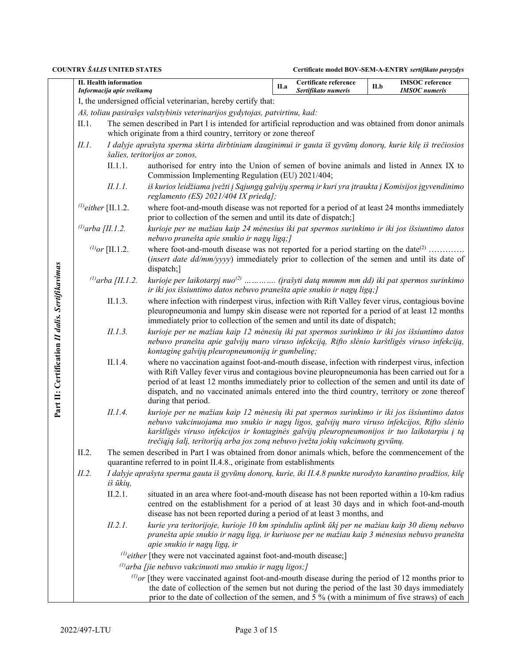|                                                 |                          | II. Health information<br>Informacija apie sveikumą |                                                                                                                                                                                                                                                                                                                                                                                                                             | II.a | Certificate reference<br>Sertifikato numeris | II.b | <b>IMSOC</b> reference<br><b>IMSOC</b> numeris |  |
|-------------------------------------------------|--------------------------|-----------------------------------------------------|-----------------------------------------------------------------------------------------------------------------------------------------------------------------------------------------------------------------------------------------------------------------------------------------------------------------------------------------------------------------------------------------------------------------------------|------|----------------------------------------------|------|------------------------------------------------|--|
|                                                 |                          |                                                     | I, the undersigned official veterinarian, hereby certify that:                                                                                                                                                                                                                                                                                                                                                              |      |                                              |      |                                                |  |
|                                                 |                          |                                                     | Aš, toliau pasirašęs valstybinis veterinarijos gydytojas, patvirtinu, kad:                                                                                                                                                                                                                                                                                                                                                  |      |                                              |      |                                                |  |
|                                                 | II.1.                    |                                                     | The semen described in Part I is intended for artificial reproduction and was obtained from donor animals<br>which originate from a third country, territory or zone thereof                                                                                                                                                                                                                                                |      |                                              |      |                                                |  |
|                                                 | II.1.                    |                                                     | I dalyje aprašyta sperma skirta dirbtiniam dauginimui ir gauta iš gyvūnų donorų, kurie kilę iš trečiosios<br>šalies, teritorijos ar zonos,                                                                                                                                                                                                                                                                                  |      |                                              |      |                                                |  |
|                                                 |                          | II.1.1.                                             | authorised for entry into the Union of semen of bovine animals and listed in Annex IX to<br>Commission Implementing Regulation (EU) 2021/404;                                                                                                                                                                                                                                                                               |      |                                              |      |                                                |  |
|                                                 |                          | II.1.1.                                             | iš kurios leidžiama įvežti į Sąjungą galvijų spermą ir kuri yra įtraukta į Komisijos įgyvendinimo<br>reglamento (ES) $2021/404$ IX prieda];                                                                                                                                                                                                                                                                                 |      |                                              |      |                                                |  |
|                                                 | $^{(1)}$ either [II.1.2. |                                                     | where foot-and-mouth disease was not reported for a period of at least 24 months immediately<br>prior to collection of the semen and until its date of dispatch;                                                                                                                                                                                                                                                            |      |                                              |      |                                                |  |
|                                                 | $^{(1)}$ arba [II.1.2.   |                                                     | kurioje per ne mažiau kaip 24 mėnesius iki pat spermos surinkimo ir iki jos išsiuntimo datos<br>nebuvo pranešta apie snukio ir nagų ligą;]                                                                                                                                                                                                                                                                                  |      |                                              |      |                                                |  |
|                                                 |                          | $^{(1)}$ or [II.1.2.                                | where foot-and-mouth disease was not reported for a period starting on the date <sup>(2)</sup><br>(insert date dd/mm/yyyy) immediately prior to collection of the semen and until its date of<br>dispatch;]                                                                                                                                                                                                                 |      |                                              |      |                                                |  |
|                                                 |                          | $^{(1)}$ arba [II.1.2.                              | kurioje per laikotarpį nuo <sup>(2)</sup> (įrašyti datą mmmm mm dd) iki pat spermos surinkimo<br>ir iki jos išsiuntimo datos nebuvo pranešta apie snukio ir nagų ligą;]                                                                                                                                                                                                                                                     |      |                                              |      |                                                |  |
|                                                 | II.1.3.                  |                                                     | where infection with rinderpest virus, infection with Rift Valley fever virus, contagious bovine<br>pleuropneumonia and lumpy skin disease were not reported for a period of at least 12 months<br>immediately prior to collection of the semen and until its date of dispatch;                                                                                                                                             |      |                                              |      |                                                |  |
|                                                 |                          | II.1.3.                                             | kurioje per ne mažiau kaip 12 mėnesių iki pat spermos surinkimo ir iki jos išsiuntimo datos<br>nebuvo pranešta apie galvijų maro viruso infekciją, Rifto slėnio karštligės viruso infekciją,<br>kontaginę galvijų pleuropneumoniją ir gumbelinę;                                                                                                                                                                            |      |                                              |      |                                                |  |
| Part II: Certification II dalis. Sertifikavimas |                          | II.1.4.                                             | where no vaccination against foot-and-mouth disease, infection with rinderpest virus, infection<br>with Rift Valley fever virus and contagious bovine pleuropneumonia has been carried out for a<br>period of at least 12 months immediately prior to collection of the semen and until its date of<br>dispatch, and no vaccinated animals entered into the third country, territory or zone thereof<br>during that period. |      |                                              |      |                                                |  |
|                                                 |                          | II.1.4.                                             | kurioje per ne mažiau kaip 12 mėnesių iki pat spermos surinkimo ir iki jos išsiuntimo datos<br>nebuvo vakcinuojama nuo snukio ir nagų ligos, galvijų maro viruso infekcijos, Rifto slėnio<br>karštligės viruso infekcijos ir kontaginės galvijų pleuropneumonijos ir tuo laikotarpiu į tą<br>trečiąją šalį, teritoriją arba jos zoną nebuvo įvežta jokių vakcinuotų gyvūnų.                                                 |      |                                              |      |                                                |  |
|                                                 | II.2.                    |                                                     | The semen described in Part I was obtained from donor animals which, before the commencement of the<br>quarantine referred to in point II.4.8., originate from establishments                                                                                                                                                                                                                                               |      |                                              |      |                                                |  |
|                                                 | II.2.<br>iš ūkių,        |                                                     | I dalyje aprašyta sperma gauta iš gyvūnų donorų, kurie, iki II.4.8 punkte nurodyto karantino pradžios, kilę                                                                                                                                                                                                                                                                                                                 |      |                                              |      |                                                |  |
|                                                 |                          | II.2.1.                                             | situated in an area where foot-and-mouth disease has not been reported within a 10-km radius<br>centred on the establishment for a period of at least 30 days and in which foot-and-mouth<br>disease has not been reported during a period of at least 3 months, and                                                                                                                                                        |      |                                              |      |                                                |  |
|                                                 |                          | II.2.1.                                             | kurie yra teritorijoje, kurioje 10 km spinduliu aplink ūkį per ne mažiau kaip 30 dienų nebuvo<br>pranešta apie snukio ir nagų ligą, ir kuriuose per ne mažiau kaip 3 mėnesius nebuvo pranešta<br>apie snukio ir nagų ligą, ir                                                                                                                                                                                               |      |                                              |      |                                                |  |
|                                                 |                          |                                                     | $^{(1)}$ either [they were not vaccinated against foot-and-mouth disease;]                                                                                                                                                                                                                                                                                                                                                  |      |                                              |      |                                                |  |
|                                                 |                          |                                                     | $\alpha^{(1)}$ arba [jie nebuvo vakcinuoti nuo snukio ir nagų ligos;]                                                                                                                                                                                                                                                                                                                                                       |      |                                              |      |                                                |  |
|                                                 |                          |                                                     | $^{(l)}$ or [they were vaccinated against foot-and-mouth disease during the period of 12 months prior to<br>the date of collection of the semen but not during the period of the last 30 days immediately<br>prior to the date of collection of the semen, and 5 % (with a minimum of five straws) of each                                                                                                                  |      |                                              |      |                                                |  |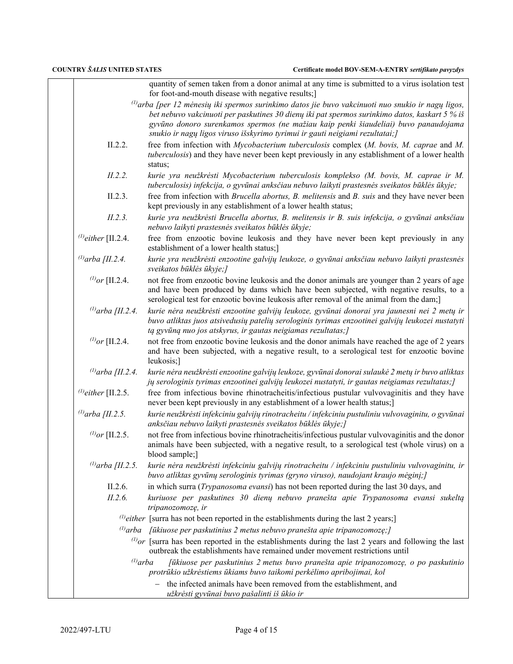|                          | quantity of semen taken from a donor animal at any time is submitted to a virus isolation test<br>for foot-and-mouth disease with negative results;]                                                                                                                                                                                                                            |
|--------------------------|---------------------------------------------------------------------------------------------------------------------------------------------------------------------------------------------------------------------------------------------------------------------------------------------------------------------------------------------------------------------------------|
|                          |                                                                                                                                                                                                                                                                                                                                                                                 |
|                          | $\omega$ arba [per 12 mėnesių iki spermos surinkimo datos jie buvo vakcinuoti nuo snukio ir nagų ligos,<br>bet nebuvo vakcinuoti per paskutines 30 dienų iki pat spermos surinkimo datos, kaskart 5 % iš<br>gyvūno donoro surenkamos spermos (ne mažiau kaip penki šiaudeliai) buvo panaudojama<br>snukio ir nagų ligos viruso išskyrimo tyrimui ir gauti neigiami rezultatai;] |
| II.2.2.                  | free from infection with Mycobacterium tuberculosis complex (M. bovis, M. caprae and M.<br>tuberculosis) and they have never been kept previously in any establishment of a lower health<br>status;                                                                                                                                                                             |
| II.2.2.                  | kurie yra neužkrėsti Mycobacterium tuberculosis komplekso (M. bovis, M. caprae ir M.<br>tuberculosis) infekcija, o gyvūnai anksčiau nebuvo laikyti prastesnės sveikatos būklės ūkyje;                                                                                                                                                                                           |
| II.2.3.                  | free from infection with <i>Brucella abortus</i> , <i>B. melitensis</i> and <i>B. suis</i> and they have never been<br>kept previously in any establishment of a lower health status;                                                                                                                                                                                           |
| II.2.3.                  | kurie yra neužkrėsti Brucella abortus, B. melitensis ir B. suis infekcija, o gyvūnai anksčiau<br>nebuvo laikyti prastesnės sveikatos būklės ūkyje;                                                                                                                                                                                                                              |
| $^{(1)}$ either [II.2.4. | free from enzootic bovine leukosis and they have never been kept previously in any<br>establishment of a lower health status;]                                                                                                                                                                                                                                                  |
| (1) arba [II.2.4.        | kurie yra neužkrėsti enzootine galvijų leukoze, o gyvūnai anksčiau nebuvo laikyti prastesnės<br>sveikatos būklės ūkyje;]                                                                                                                                                                                                                                                        |
| ( <i>l)</i> or [II.2.4.  | not free from enzootic bovine leukosis and the donor animals are younger than 2 years of age<br>and have been produced by dams which have been subjected, with negative results, to a<br>serological test for enzootic bovine leukosis after removal of the animal from the dam;                                                                                                |
| (1) arba [II.2.4.        | kurie nėra neužkrėsti enzootine galvijų leukoze, gyvūnai donorai yra jaunesni nei 2 metų ir<br>buvo atliktas juos atsivedusių patelių serologinis tyrimas enzootinei galvijų leukozei nustatyti<br>tą gyvūną nuo jos atskyrus, ir gautas neigiamas rezultatas;]                                                                                                                 |
| ( <i>l)</i> or [II.2.4.  | not free from enzootic bovine leukosis and the donor animals have reached the age of 2 years<br>and have been subjected, with a negative result, to a serological test for enzootic bovine<br>leukosis;]                                                                                                                                                                        |
| (1) arba [II.2.4.        | kurie nėra neužkrėsti enzootine galvijų leukoze, gyvūnai donorai sulaukė 2 metų ir buvo atliktas<br>jų serologinis tyrimas enzootinei galvijų leukozei nustatyti, ir gautas neigiamas rezultatas;]                                                                                                                                                                              |
| $^{(1)}$ either [II.2.5. | free from infectious bovine rhinotracheitis/infectious pustular vulvovaginitis and they have<br>never been kept previously in any establishment of a lower health status;]                                                                                                                                                                                                      |
| ( $v$ arba [II.2.5.]     | kurie neužkrėsti infekciniu galvijų rinotracheitu / infekciniu pustuliniu vulvovaginitu, o gyvūnai<br>anksčiau nebuvo laikyti prastesnės sveikatos būklės ūkyje;]                                                                                                                                                                                                               |
| ( <i>l)</i> or [II.2.5.  | not free from infectious bovine rhinotracheitis/infectious pustular vulvovaginitis and the donor<br>animals have been subjected, with a negative result, to a serological test (whole virus) on a<br>blood sample;                                                                                                                                                              |
| (1) arba [II.2.5.        | kurie nėra neužkrėsti infekciniu galvijų rinotracheitu / infekciniu pustuliniu vulvovaginitu, ir<br>buvo atliktas gyvūnų serologinis tyrimas (gryno viruso), naudojant kraujo mėginį;]                                                                                                                                                                                          |
| II.2.6.                  | in which surra (Trypanosoma evansi) has not been reported during the last 30 days, and                                                                                                                                                                                                                                                                                          |
| II.2.6.                  | kuriuose per paskutines 30 dienų nebuvo pranešta apie Trypanosoma evansi sukeltą<br>tripanozomozę, ir                                                                                                                                                                                                                                                                           |
|                          | $^{(1)}$ either [surra has not been reported in the establishments during the last 2 years;]                                                                                                                                                                                                                                                                                    |
|                          | $\alpha$ <sup>(1)</sup> arba [ūkiuose per paskutinius 2 metus nebuvo pranešta apie tripanozomozę;]                                                                                                                                                                                                                                                                              |
|                          | $^{(l)}$ or [surra has been reported in the establishments during the last 2 years and following the last<br>outbreak the establishments have remained under movement restrictions until                                                                                                                                                                                        |
| $^{(l)}$ arba            | [ūkiuose per paskutinius 2 metus buvo pranešta apie tripanozomozę, o po paskutinio<br>protrūkio užkrėstiems ūkiams buvo taikomi perkėlimo apribojimai, kol                                                                                                                                                                                                                      |
|                          | the infected animals have been removed from the establishment, and<br>užkrėsti gyvūnai buvo pašalinti iš ūkio ir                                                                                                                                                                                                                                                                |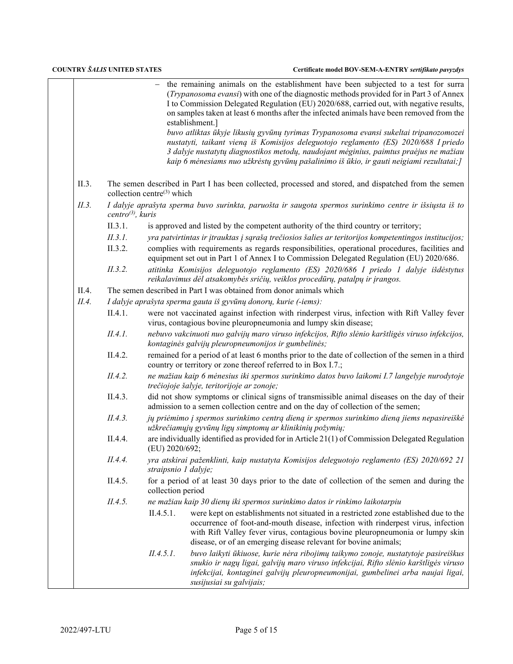| Certificate model BOV-SEM-A-ENTRY sertifikato pavyzdys |  |
|--------------------------------------------------------|--|
|--------------------------------------------------------|--|

|       |                               | - the remaining animals on the establishment have been subjected to a test for surra<br>(Trypanosoma evansi) with one of the diagnostic methods provided for in Part 3 of Annex<br>I to Commission Delegated Regulation (EU) 2020/688, carried out, with negative results,<br>on samples taken at least 6 months after the infected animals have been removed from the<br>establishment.]<br>buvo atliktas ūkyje likusių gyvūnų tyrimas Trypanosoma evansi sukeltai tripanozomozei<br>nustatyti, taikant vieną iš Komisijos deleguotojo reglamento (ES) 2020/688 I priedo<br>3 dalyje nustatytų diagnostikos metodų, naudojant mėginius, paimtus praėjus ne mažiau<br>kaip 6 mėnesiams nuo užkrėstų gyvūnų pašalinimo iš ūkio, ir gauti neigiami rezultatai;] |
|-------|-------------------------------|---------------------------------------------------------------------------------------------------------------------------------------------------------------------------------------------------------------------------------------------------------------------------------------------------------------------------------------------------------------------------------------------------------------------------------------------------------------------------------------------------------------------------------------------------------------------------------------------------------------------------------------------------------------------------------------------------------------------------------------------------------------|
| II.3. |                               | The semen described in Part I has been collected, processed and stored, and dispatched from the semen<br>collection centre <sup>(3)</sup> which                                                                                                                                                                                                                                                                                                                                                                                                                                                                                                                                                                                                               |
| II.3. | centro <sup>(3)</sup> , kuris | I dalyje aprašyta sperma buvo surinkta, paruošta ir saugota spermos surinkimo centre ir išsiųsta iš to                                                                                                                                                                                                                                                                                                                                                                                                                                                                                                                                                                                                                                                        |
|       | II.3.1.                       | is approved and listed by the competent authority of the third country or territory;                                                                                                                                                                                                                                                                                                                                                                                                                                                                                                                                                                                                                                                                          |
|       | II.3.1.                       | yra patvirtintas ir įtrauktas į sąrašą trečiosios šalies ar teritorijos kompetentingos institucijos;                                                                                                                                                                                                                                                                                                                                                                                                                                                                                                                                                                                                                                                          |
|       | II.3.2.                       | complies with requirements as regards responsibilities, operational procedures, facilities and<br>equipment set out in Part 1 of Annex I to Commission Delegated Regulation (EU) 2020/686.                                                                                                                                                                                                                                                                                                                                                                                                                                                                                                                                                                    |
|       | II.3.2.                       | atitinka Komisijos deleguotojo reglamento (ES) 2020/686 I priedo 1 dalyje išdėstytus<br>reikalavimus dėl atsakomybės sričių, veiklos procedūrų, patalpų ir įrangos.                                                                                                                                                                                                                                                                                                                                                                                                                                                                                                                                                                                           |
| II.4. |                               | The semen described in Part I was obtained from donor animals which                                                                                                                                                                                                                                                                                                                                                                                                                                                                                                                                                                                                                                                                                           |
| II.4. |                               | I dalyje aprašyta sperma gauta iš gyvūnų donorų, kurie (-iems):                                                                                                                                                                                                                                                                                                                                                                                                                                                                                                                                                                                                                                                                                               |
|       | II.4.1.                       | were not vaccinated against infection with rinderpest virus, infection with Rift Valley fever<br>virus, contagious bovine pleuropneumonia and lumpy skin disease;                                                                                                                                                                                                                                                                                                                                                                                                                                                                                                                                                                                             |
|       | II.4.1.                       | nebuvo vakcinuoti nuo galvijų maro viruso infekcijos, Rifto slėnio karštligės viruso infekcijos,<br>kontaginės galvijų pleuropneumonijos ir gumbelinės;                                                                                                                                                                                                                                                                                                                                                                                                                                                                                                                                                                                                       |
|       | II.4.2.                       | remained for a period of at least 6 months prior to the date of collection of the semen in a third<br>country or territory or zone thereof referred to in Box I.7.;                                                                                                                                                                                                                                                                                                                                                                                                                                                                                                                                                                                           |
|       | II.4.2.                       | ne mažiau kaip 6 mėnesius iki spermos surinkimo datos buvo laikomi I.7 langelyje nurodytoje<br>trečiojoje šalyje, teritorijoje ar zonoje;                                                                                                                                                                                                                                                                                                                                                                                                                                                                                                                                                                                                                     |
|       | II.4.3.                       | did not show symptoms or clinical signs of transmissible animal diseases on the day of their<br>admission to a semen collection centre and on the day of collection of the semen;                                                                                                                                                                                                                                                                                                                                                                                                                                                                                                                                                                             |
|       | II.4.3.                       | jų priėmimo į spermos surinkimo centrą dieną ir spermos surinkimo dieną jiems nepasireiškė<br>užkrečiamųjų gyvūnų ligų simptomų ar klinikinių požymių;                                                                                                                                                                                                                                                                                                                                                                                                                                                                                                                                                                                                        |
|       | II.4.4.                       | are individually identified as provided for in Article 21(1) of Commission Delegated Regulation<br>(EU) 2020/692;                                                                                                                                                                                                                                                                                                                                                                                                                                                                                                                                                                                                                                             |
|       | II.4.4.                       | yra atskirai paženklinti, kaip nustatyta Komisijos deleguotojo reglamento (ES) 2020/692 21<br>straipsnio 1 dalyje;                                                                                                                                                                                                                                                                                                                                                                                                                                                                                                                                                                                                                                            |
|       | II.4.5.                       | for a period of at least 30 days prior to the date of collection of the semen and during the<br>collection period                                                                                                                                                                                                                                                                                                                                                                                                                                                                                                                                                                                                                                             |
|       | II.4.5.                       | ne mažiau kaip 30 dienų iki spermos surinkimo datos ir rinkimo laikotarpiu                                                                                                                                                                                                                                                                                                                                                                                                                                                                                                                                                                                                                                                                                    |
|       |                               | II.4.5.1.<br>were kept on establishments not situated in a restricted zone established due to the<br>occurrence of foot-and-mouth disease, infection with rinderpest virus, infection<br>with Rift Valley fever virus, contagious bovine pleuropneumonia or lumpy skin<br>disease, or of an emerging disease relevant for bovine animals;                                                                                                                                                                                                                                                                                                                                                                                                                     |
|       |                               | II.4.5.1.<br>buvo laikyti ūkiuose, kurie nėra ribojimų taikymo zonoje, nustatytoje pasireiškus<br>snukio ir nagų ligai, galvijų maro viruso infekcijai, Rifto slėnio karštligės viruso<br>infekcijai, kontaginei galvijų pleuropneumonijai, gumbelinei arba naujai ligai,<br>susijusiai su galvijais;                                                                                                                                                                                                                                                                                                                                                                                                                                                         |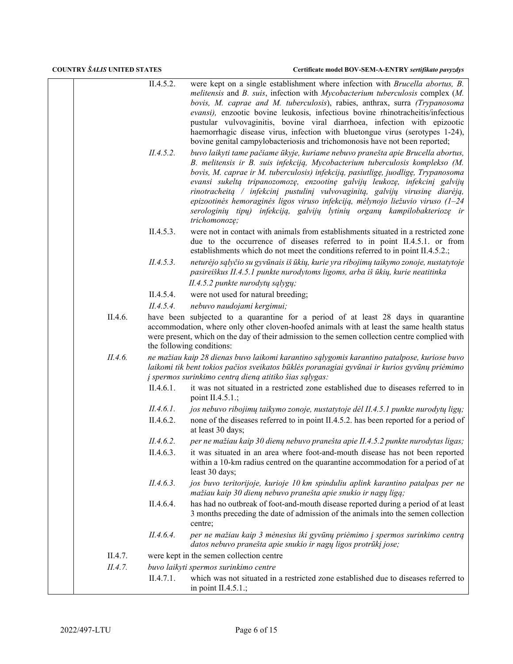|         | II.4.5.2.<br>II.4.5.2. | were kept on a single establishment where infection with <i>Brucella abortus</i> , <i>B</i> .<br>melitensis and B. suis, infection with Mycobacterium tuberculosis complex (M.<br>bovis, M. caprae and M. tuberculosis), rabies, anthrax, surra (Trypanosoma<br>evansi), enzootic bovine leukosis, infectious bovine rhinotracheitis/infectious<br>pustular vulvovaginitis, bovine viral diarrhoea, infection with epizootic<br>haemorrhagic disease virus, infection with bluetongue virus (serotypes 1-24),<br>bovine genital campylobacteriosis and trichomonosis have not been reported;<br>buvo laikyti tame pačiame ūkyje, kuriame nebuvo pranešta apie Brucella abortus,<br>B. melitensis ir B. suis infekciją, Mycobacterium tuberculosis komplekso (M.<br>bovis, M. caprae ir M. tuberculosis) infekciją, pasiutligę, juodligę, Trypanosoma<br>evansi sukeltą tripanozomozę, enzootinę galvijų leukozę, infekcinį galvijų<br>rinotracheitą / infekcinį pustulinį vulvovaginitą, galvijų virusinę diarėją,<br>epizootinės hemoraginės ligos viruso infekciją, mėlynojo liežuvio viruso ( $1-24$<br>serologinių tipų) infekciją, galvijų lytinių organų kampilobakteriozę ir |
|---------|------------------------|-------------------------------------------------------------------------------------------------------------------------------------------------------------------------------------------------------------------------------------------------------------------------------------------------------------------------------------------------------------------------------------------------------------------------------------------------------------------------------------------------------------------------------------------------------------------------------------------------------------------------------------------------------------------------------------------------------------------------------------------------------------------------------------------------------------------------------------------------------------------------------------------------------------------------------------------------------------------------------------------------------------------------------------------------------------------------------------------------------------------------------------------------------------------------------------|
|         |                        | trichomonozę;                                                                                                                                                                                                                                                                                                                                                                                                                                                                                                                                                                                                                                                                                                                                                                                                                                                                                                                                                                                                                                                                                                                                                                       |
|         | II.4.5.3.              | were not in contact with animals from establishments situated in a restricted zone<br>due to the occurrence of diseases referred to in point II.4.5.1. or from<br>establishments which do not meet the conditions referred to in point II.4.5.2.;                                                                                                                                                                                                                                                                                                                                                                                                                                                                                                                                                                                                                                                                                                                                                                                                                                                                                                                                   |
|         | II.4.5.3.              | neturėjo sąlyčio su gyvūnais iš ūkių, kurie yra ribojimų taikymo zonoje, nustatytoje<br>pasireiškus II.4.5.1 punkte nurodytoms ligoms, arba iš ūkių, kurie neatitinka                                                                                                                                                                                                                                                                                                                                                                                                                                                                                                                                                                                                                                                                                                                                                                                                                                                                                                                                                                                                               |
|         |                        | II.4.5.2 punkte nurodytų sąlygų;                                                                                                                                                                                                                                                                                                                                                                                                                                                                                                                                                                                                                                                                                                                                                                                                                                                                                                                                                                                                                                                                                                                                                    |
|         | II.4.5.4.              | were not used for natural breeding;                                                                                                                                                                                                                                                                                                                                                                                                                                                                                                                                                                                                                                                                                                                                                                                                                                                                                                                                                                                                                                                                                                                                                 |
|         | II.4.5.4.              | nebuvo naudojami kergimui;                                                                                                                                                                                                                                                                                                                                                                                                                                                                                                                                                                                                                                                                                                                                                                                                                                                                                                                                                                                                                                                                                                                                                          |
| II.4.6. |                        | have been subjected to a quarantine for a period of at least 28 days in quarantine<br>accommodation, where only other cloven-hoofed animals with at least the same health status<br>were present, which on the day of their admission to the semen collection centre complied with<br>the following conditions:                                                                                                                                                                                                                                                                                                                                                                                                                                                                                                                                                                                                                                                                                                                                                                                                                                                                     |
| II.4.6. |                        | ne mažiau kaip 28 dienas buvo laikomi karantino sąlygomis karantino patalpose, kuriose buvo<br>laikomi tik bent tokios pačios sveikatos būklės poranagiai gyvūnai ir kurios gyvūnų priėmimo<br>į spermos surinkimo centrą dieną atitiko šias sąlygas:                                                                                                                                                                                                                                                                                                                                                                                                                                                                                                                                                                                                                                                                                                                                                                                                                                                                                                                               |
|         | II.4.6.1.              | it was not situated in a restricted zone established due to diseases referred to in<br>point II.4.5.1.;                                                                                                                                                                                                                                                                                                                                                                                                                                                                                                                                                                                                                                                                                                                                                                                                                                                                                                                                                                                                                                                                             |
|         | II.4.6.1.              | jos nebuvo ribojimų taikymo zonoje, nustatytoje dėl II.4.5.1 punkte nurodytų ligų;                                                                                                                                                                                                                                                                                                                                                                                                                                                                                                                                                                                                                                                                                                                                                                                                                                                                                                                                                                                                                                                                                                  |
|         | II.4.6.2.              | none of the diseases referred to in point II.4.5.2. has been reported for a period of<br>at least 30 days;                                                                                                                                                                                                                                                                                                                                                                                                                                                                                                                                                                                                                                                                                                                                                                                                                                                                                                                                                                                                                                                                          |
|         | II.4.6.2.              | per ne mažiau kaip 30 dienų nebuvo pranešta apie II.4.5.2 punkte nurodytas ligas;                                                                                                                                                                                                                                                                                                                                                                                                                                                                                                                                                                                                                                                                                                                                                                                                                                                                                                                                                                                                                                                                                                   |
|         | II.4.6.3.              | it was situated in an area where foot-and-mouth disease has not been reported<br>within a 10-km radius centred on the quarantine accommodation for a period of at<br>least 30 days;                                                                                                                                                                                                                                                                                                                                                                                                                                                                                                                                                                                                                                                                                                                                                                                                                                                                                                                                                                                                 |
|         | II.4.6.3.              | jos buvo teritorijoje, kurioje 10 km spinduliu aplink karantino patalpas per ne<br>mažiau kaip 30 dienų nebuvo pranešta apie snukio ir nagų ligą;                                                                                                                                                                                                                                                                                                                                                                                                                                                                                                                                                                                                                                                                                                                                                                                                                                                                                                                                                                                                                                   |
|         | II.4.6.4.              | has had no outbreak of foot-and-mouth disease reported during a period of at least<br>3 months preceding the date of admission of the animals into the semen collection<br>centre;                                                                                                                                                                                                                                                                                                                                                                                                                                                                                                                                                                                                                                                                                                                                                                                                                                                                                                                                                                                                  |
|         | II.4.6.4.              | per ne mažiau kaip 3 mėnesius iki gyvūnų priėmimo į spermos surinkimo centrą<br>datos nebuvo pranešta apie snukio ir nagų ligos protrūkį jose;                                                                                                                                                                                                                                                                                                                                                                                                                                                                                                                                                                                                                                                                                                                                                                                                                                                                                                                                                                                                                                      |
| II.4.7. |                        | were kept in the semen collection centre                                                                                                                                                                                                                                                                                                                                                                                                                                                                                                                                                                                                                                                                                                                                                                                                                                                                                                                                                                                                                                                                                                                                            |
| II.4.7. |                        | buvo laikyti spermos surinkimo centre                                                                                                                                                                                                                                                                                                                                                                                                                                                                                                                                                                                                                                                                                                                                                                                                                                                                                                                                                                                                                                                                                                                                               |
|         | II.4.7.1.              | which was not situated in a restricted zone established due to diseases referred to<br>in point $II.4.5.1$ .;                                                                                                                                                                                                                                                                                                                                                                                                                                                                                                                                                                                                                                                                                                                                                                                                                                                                                                                                                                                                                                                                       |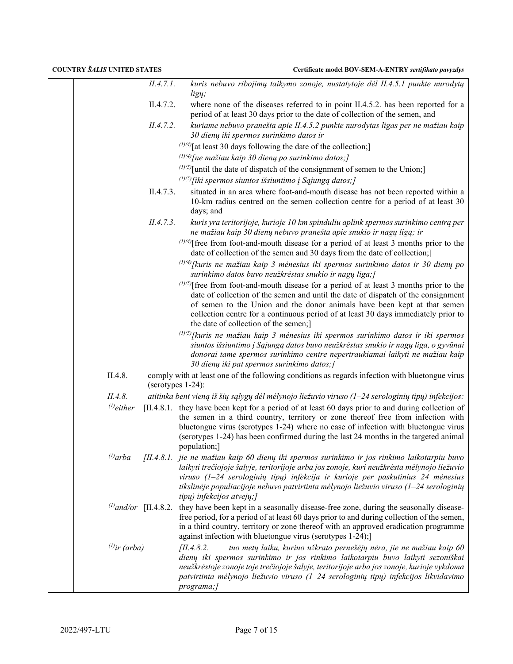|                    | II.4.7.1.         | kuris nebuvo ribojimų taikymo zonoje, nustatytoje dėl II.4.5.1 punkte nurodytų<br>ligų;                                                                                                                                                                                                                                                                                                                 |
|--------------------|-------------------|---------------------------------------------------------------------------------------------------------------------------------------------------------------------------------------------------------------------------------------------------------------------------------------------------------------------------------------------------------------------------------------------------------|
|                    | II.4.7.2.         | where none of the diseases referred to in point II.4.5.2. has been reported for a<br>period of at least 30 days prior to the date of collection of the semen, and                                                                                                                                                                                                                                       |
|                    | II.4.7.2.         | kuriame nebuvo pranešta apie II.4.5.2 punkte nurodytas ligas per ne mažiau kaip<br>30 dienų iki spermos surinkimo datos ir                                                                                                                                                                                                                                                                              |
|                    |                   | $(1)(4)$ [at least 30 days following the date of the collection;]                                                                                                                                                                                                                                                                                                                                       |
|                    |                   | $^{(1)(4)}$ [ne mažiau kaip 30 dienų po surinkimo datos;]                                                                                                                                                                                                                                                                                                                                               |
|                    |                   | $(1)(5)$ [until the date of dispatch of the consignment of semen to the Union;]                                                                                                                                                                                                                                                                                                                         |
|                    |                   | $^{(1)(5)}$ [iki spermos siuntos išsiuntimo į Sąjungą datos;]                                                                                                                                                                                                                                                                                                                                           |
|                    | II.4.7.3.         | situated in an area where foot-and-mouth disease has not been reported within a<br>10-km radius centred on the semen collection centre for a period of at least 30<br>days; and                                                                                                                                                                                                                         |
|                    | II.4.7.3.         | kuris yra teritorijoje, kurioje 10 km spinduliu aplink spermos surinkimo centrą per<br>ne mažiau kaip 30 dienų nebuvo pranešta apie snukio ir nagų ligą; ir                                                                                                                                                                                                                                             |
|                    |                   | $(1)(4)$ free from foot-and-mouth disease for a period of at least 3 months prior to the<br>date of collection of the semen and 30 days from the date of collection;]                                                                                                                                                                                                                                   |
|                    |                   | $^{(1)(4)}$ [kuris ne mažiau kaip 3 mėnesius iki spermos surinkimo datos ir 30 dienų po<br>surinkimo datos buvo neužkrėstas snukio ir nagų liga;]                                                                                                                                                                                                                                                       |
|                    |                   | $(1)(5)$ [free from foot-and-mouth disease for a period of at least 3 months prior to the<br>date of collection of the semen and until the date of dispatch of the consignment<br>of semen to the Union and the donor animals have been kept at that semen<br>collection centre for a continuous period of at least 30 days immediately prior to<br>the date of collection of the semen;]               |
|                    |                   | $(1)(5)$ [kuris ne mažiau kaip 3 mėnesius iki spermos surinkimo datos ir iki spermos<br>siuntos išsiuntimo į Sąjungą datos buvo neužkrėstas snukio ir nagų liga, o gyvūnai<br>donorai tame spermos surinkimo centre nepertraukiamai laikyti ne mažiau kaip<br>30 dienų iki pat spermos surinkimo datos;]                                                                                                |
| II.4.8.            | (serotypes 1-24): | comply with at least one of the following conditions as regards infection with bluetongue virus                                                                                                                                                                                                                                                                                                         |
| II.4.8.            |                   | atitinka bent vieną iš šių sąlygų dėl mėlynojo liežuvio viruso (1–24 serologinių tipų) infekcijos:                                                                                                                                                                                                                                                                                                      |
| $^{(1)}$ either    |                   | [II.4.8.1. they have been kept for a period of at least 60 days prior to and during collection of<br>the semen in a third country, territory or zone thereof free from infection with<br>bluetongue virus (serotypes 1-24) where no case of infection with bluetongue virus<br>(serotypes 1-24) has been confirmed during the last 24 months in the targeted animal<br>population;]                     |
| $^{(l)}$ arba      |                   | [II.4.8.1.] jie ne mažiau kaip 60 dienų iki spermos surinkimo ir jos rinkimo laikotarpiu buvo<br>laikyti trečiojoje šalyje, teritorijoje arba jos zonoje, kuri neužkrėsta mėlynojo liežuvio<br>viruso (1-24 serologinių tipų) infekcija ir kurioje per paskutinius 24 mėnesius<br>tikslinėje populiacijoje nebuvo patvirtinta mėlynojo liežuvio viruso $(1-24$ serologinių<br>tipu) infekcijos atvejų;] |
|                    |                   | $^{(1)}$ and/or [II.4.8.2. they have been kept in a seasonally disease-free zone, during the seasonally disease-<br>free period, for a period of at least 60 days prior to and during collection of the semen,<br>in a third country, territory or zone thereof with an approved eradication programme<br>against infection with bluetongue virus (serotypes 1-24);]                                    |
| $^{(1)}$ ir (arba) |                   | tuo metų laiku, kuriuo užkrato pernešėjų nėra, jie ne mažiau kaip 60<br>[II.4.8.2]<br>dienų iki spermos surinkimo ir jos rinkimo laikotarpiu buvo laikyti sezoniškai<br>neužkrėstoje zonoje toje trečiojoje šalyje, teritorijoje arba jos zonoje, kurioje vykdoma<br>patvirtinta mėlynojo liežuvio viruso $(1-24$ serologinių tipų) infekcijos likvidavimo<br>programa;]                                |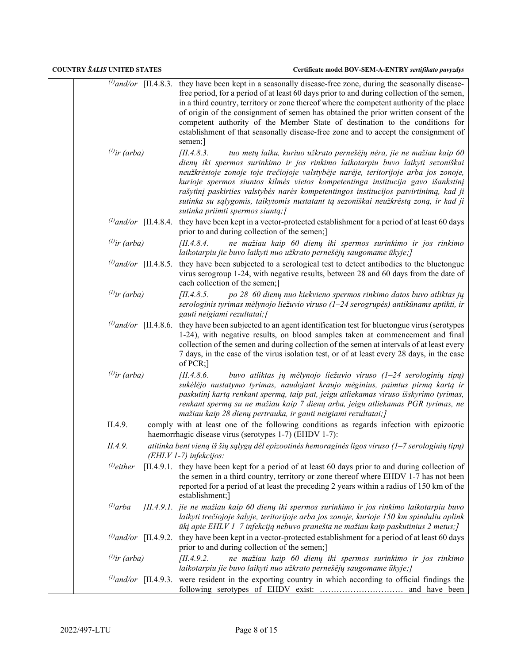|  | Certificate model BOV-SEM-A-ENTRY sertifikato pavyzdys |  |
|--|--------------------------------------------------------|--|
|--|--------------------------------------------------------|--|

| $^{(1)}$ ir (arba) | $\omega$ and/or [II.4.8.3. they have been kept in a seasonally disease-free zone, during the seasonally disease-<br>free period, for a period of at least 60 days prior to and during collection of the semen,<br>in a third country, territory or zone thereof where the competent authority of the place<br>of origin of the consignment of semen has obtained the prior written consent of the<br>competent authority of the Member State of destination to the conditions for<br>establishment of that seasonally disease-free zone and to accept the consignment of<br>semen;]<br>III.4.8.3.<br>tuo metų laiku, kuriuo užkrato pernešėjų nėra, jie ne mažiau kaip 60 |
|--------------------|---------------------------------------------------------------------------------------------------------------------------------------------------------------------------------------------------------------------------------------------------------------------------------------------------------------------------------------------------------------------------------------------------------------------------------------------------------------------------------------------------------------------------------------------------------------------------------------------------------------------------------------------------------------------------|
|                    | dienų iki spermos surinkimo ir jos rinkimo laikotarpiu buvo laikyti sezoniškai<br>neužkrėstoje zonoje toje trečiojoje valstybėje narėje, teritorijoje arba jos zonoje,<br>kurioje spermos siuntos kilmės vietos kompetentinga institucija gavo išankstinį<br>rašytinį paskirties valstybės narės kompetentingos institucijos patvirtinimą, kad ji<br>sutinka su sąlygomis, taikytomis nustatant tą sezoniškai neužkrėstą zoną, ir kad ji<br>sutinka priimti spermos siuntą;]                                                                                                                                                                                              |
|                    | $^{(1)}$ and/or [II.4.8.4. they have been kept in a vector-protected establishment for a period of at least 60 days<br>prior to and during collection of the semen;]                                                                                                                                                                                                                                                                                                                                                                                                                                                                                                      |
| $^{(1)}$ ir (arba) | [II.4.8.4]<br>ne mažiau kaip 60 dienų iki spermos surinkimo ir jos rinkimo<br>laikotarpiu jie buvo laikyti nuo užkrato pernešėjų saugomame ūkyje; ]                                                                                                                                                                                                                                                                                                                                                                                                                                                                                                                       |
|                    | $\frac{1}{2}$ <i>(l)</i> and/or [II.4.8.5. they have been subjected to a serological test to detect antibodies to the bluetongue<br>virus serogroup 1-24, with negative results, between 28 and 60 days from the date of<br>each collection of the semen;]                                                                                                                                                                                                                                                                                                                                                                                                                |
| $^{(1)}$ ir (arba) | [II.4.8.5]<br>po 28–60 dienų nuo kiekvieno spermos rinkimo datos buvo atliktas jų<br>serologinis tyrimas mėlynojo liežuvio viruso (1–24 serogrupės) antikūnams aptikti, ir<br>gauti neigiami rezultatai;]                                                                                                                                                                                                                                                                                                                                                                                                                                                                 |
|                    | $^{(1)}$ and/or [II.4.8.6. they have been subjected to an agent identification test for bluetongue virus (serotypes<br>1-24), with negative results, on blood samples taken at commencement and final<br>collection of the semen and during collection of the semen at intervals of at least every<br>7 days, in the case of the virus isolation test, or of at least every 28 days, in the case<br>of PCR;]                                                                                                                                                                                                                                                              |
| $^{(1)}$ ir (arba) | buvo atliktas jų mėlynojo liežuvio viruso (1-24 serologinių tipų)<br>[II.4.8.6]<br>sukėlėjo nustatymo tyrimas, naudojant kraujo mėginius, paimtus pirmą kartą ir<br>paskutinį kartą renkant spermą, taip pat, jeigu atliekamas viruso išskyrimo tyrimas,<br>renkant spermą su ne mažiau kaip 7 dienų arba, jeigu atliekamas PGR tyrimas, ne<br>mažiau kaip 28 dienų pertrauka, ir gauti neigiami rezultatai; ]                                                                                                                                                                                                                                                            |
| II.4.9.            | comply with at least one of the following conditions as regards infection with epizootic<br>haemorrhagic disease virus (serotypes 1-7) (EHDV 1-7):                                                                                                                                                                                                                                                                                                                                                                                                                                                                                                                        |
| II.4.9.            | atitinka bent vieną iš šių sąlygų dėl epizootinės hemoraginės ligos viruso (1–7 serologinių tipų)<br>(EHLV 1-7) infekcijos:                                                                                                                                                                                                                                                                                                                                                                                                                                                                                                                                               |
| $^{(1)}$ either    | [II.4.9.1. they have been kept for a period of at least 60 days prior to and during collection of<br>the semen in a third country, territory or zone thereof where EHDV 1-7 has not been<br>reported for a period of at least the preceding 2 years within a radius of 150 km of the<br>establishment;]                                                                                                                                                                                                                                                                                                                                                                   |
| $^{(1)}$ arba      | [II.4.9.1. jie ne mažiau kaip 60 dienų iki spermos surinkimo ir jos rinkimo laikotarpiu buvo<br>laikyti trečiojoje šalyje, teritorijoje arba jos zonoje, kurioje 150 km spinduliu aplink<br>ūkį apie EHLV 1–7 infekciją nebuvo pranešta ne mažiau kaip paskutinius 2 metus; [                                                                                                                                                                                                                                                                                                                                                                                             |
|                    | $^{(l)}$ and/or [II.4.9.2. they have been kept in a vector-protected establishment for a period of at least 60 days<br>prior to and during collection of the semen;]                                                                                                                                                                                                                                                                                                                                                                                                                                                                                                      |
| $^{(1)}$ ir (arba) | ne mažiau kaip 60 dienų iki spermos surinkimo ir jos rinkimo<br>[II.4.9.2]<br>laikotarpiu jie buvo laikyti nuo užkrato pernešėjų saugomame ūkyje;]                                                                                                                                                                                                                                                                                                                                                                                                                                                                                                                        |
|                    | $^{(1)}$ and/or [II.4.9.3. were resident in the exporting country in which according to official findings the                                                                                                                                                                                                                                                                                                                                                                                                                                                                                                                                                             |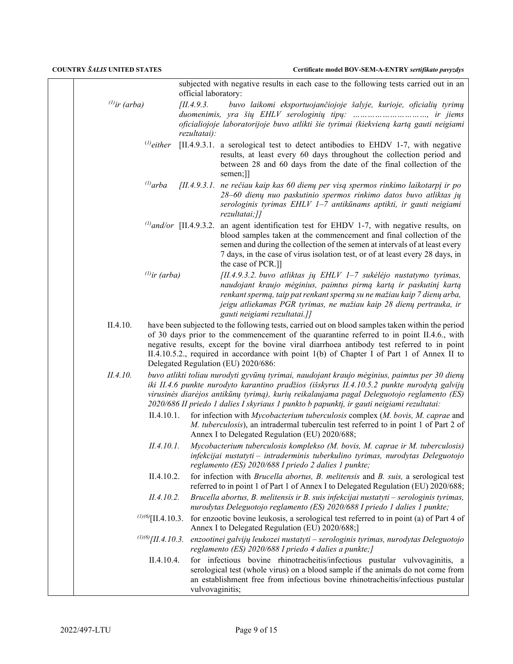| Certificate model BOV-SEM-A-ENTRY sertifikato pavyzdys |  |
|--------------------------------------------------------|--|
|--------------------------------------------------------|--|

|                    |                          | official laboratory:          | subjected with negative results in each case to the following tests carried out in an                                                                                                                                                                                                                                                                                                                                            |
|--------------------|--------------------------|-------------------------------|----------------------------------------------------------------------------------------------------------------------------------------------------------------------------------------------------------------------------------------------------------------------------------------------------------------------------------------------------------------------------------------------------------------------------------|
| $^{(1)}$ ir (arba) |                          | [II.4.9.3]<br>rezultatai):    | buvo laikomi eksportuojančiojoje šalyje, kurioje, oficialių tyrimų<br>duomenimis, yra šių EHLV serologinių tipų: , ir jiems<br>oficialiojoje laboratorijoje buvo atlikti šie tyrimai (kiekvieną kartą gauti neigiami                                                                                                                                                                                                             |
|                    | $^{(1)}$ either          |                               | [II.4.9.3.1. a serological test to detect antibodies to EHDV 1-7, with negative<br>results, at least every 60 days throughout the collection period and<br>between 28 and 60 days from the date of the final collection of the<br>semen;]                                                                                                                                                                                        |
|                    | $^{(l)}$ arba            |                               | [II.4.9.3.1. ne rečiau kaip kas 60 dienų per visą spermos rinkimo laikotarpį ir po<br>28-60 dienų nuo paskutinio spermos rinkimo datos buvo atliktas jų<br>serologinis tyrimas EHLV 1-7 antikūnams aptikti, ir gauti neigiami<br>rezultatai;]]                                                                                                                                                                                   |
|                    |                          | $^{(1)}$ and/or [II.4.9.3.2.] | an agent identification test for EHDV 1-7, with negative results, on<br>blood samples taken at the commencement and final collection of the<br>semen and during the collection of the semen at intervals of at least every<br>7 days, in the case of virus isolation test, or of at least every 28 days, in<br>the case of PCR.]]                                                                                                |
|                    | $^{(1)}$ ir (arba)       |                               | [II.4.9.3.2. buvo atliktas jų EHLV 1-7 sukėlėjo nustatymo tyrimas,<br>naudojant kraujo mėginius, paimtus pirmą kartą ir paskutinį kartą<br>renkant spermą, taip pat renkant spermą su ne mažiau kaip 7 dienų arba,<br>jeigu atliekamas PGR tyrimas, ne mažiau kaip 28 dienų pertrauka, ir<br>gauti neigiami rezultatai.]]                                                                                                        |
| II.4.10.           |                          |                               | have been subjected to the following tests, carried out on blood samples taken within the period<br>of 30 days prior to the commencement of the quarantine referred to in point II.4.6., with<br>negative results, except for the bovine viral diarrhoea antibody test referred to in point<br>II.4.10.5.2., required in accordance with point 1(b) of Chapter I of Part 1 of Annex II to<br>Delegated Regulation (EU) 2020/686: |
| II.4.10.           |                          |                               | buvo atlikti toliau nurodyti gyvūnų tyrimai, naudojant kraujo mėginius, paimtus per 30 dienų<br>iki II.4.6 punkte nurodyto karantino pradžios (išskyrus II.4.10.5.2 punkte nurodytą galvijų<br>virusinės diarėjos antikūnų tyrimą), kurių reikalaujama pagal Deleguotojo reglamento (ES)<br>2020/686 II priedo 1 dalies I skyriaus 1 punkto b papunktį, ir gauti neigiami rezultatai:                                            |
|                    | II.4.10.1.               |                               | for infection with Mycobacterium tuberculosis complex (M. bovis, M. caprae and<br>M. tuberculosis), an intradermal tuberculin test referred to in point 1 of Part 2 of<br>Annex I to Delegated Regulation (EU) 2020/688;                                                                                                                                                                                                         |
|                    | II.4.10.1.               |                               | Mycobacterium tuberculosis komplekso (M. bovis, M. caprae ir M. tuberculosis)<br>infekcijai nustatyti - intraderminis tuberkulino tyrimas, nurodytas Deleguotojo<br>reglamento (ES) 2020/688 I priedo 2 dalies 1 punkte;                                                                                                                                                                                                         |
|                    | II.4.10.2.               |                               | for infection with Brucella abortus, B. melitensis and B. suis, a serological test<br>referred to in point 1 of Part 1 of Annex I to Delegated Regulation (EU) 2020/688;                                                                                                                                                                                                                                                         |
|                    | II.4.10.2.               |                               | Brucella abortus, B. melitensis ir B. suis infekcijai nustatyti – serologinis tyrimas,<br>nurodytas Deleguotojo reglamento (ES) 2020/688 I priedo 1 dalies 1 punkte;                                                                                                                                                                                                                                                             |
|                    |                          |                               | ( $\frac{1}{10}$ )( $\frac{5}{111}$ , 4.10.3. for enzootic bovine leukosis, a serological test referred to in point (a) of Part 4 of<br>Annex I to Delegated Regulation (EU) 2020/688;]                                                                                                                                                                                                                                          |
|                    | $^{(1)(6)}$ [II.4.10.3.] |                               | enzootinei galvijų leukozei nustatyti - serologinis tyrimas, nurodytas Deleguotojo<br>reglamento (ES) 2020/688 I priedo 4 dalies a punkte;]                                                                                                                                                                                                                                                                                      |
|                    | II.4.10.4.               | vulvovaginitis;               | for infectious bovine rhinotracheitis/infectious pustular vulvovaginitis, a<br>serological test (whole virus) on a blood sample if the animals do not come from<br>an establishment free from infectious bovine rhinotracheitis/infectious pustular                                                                                                                                                                              |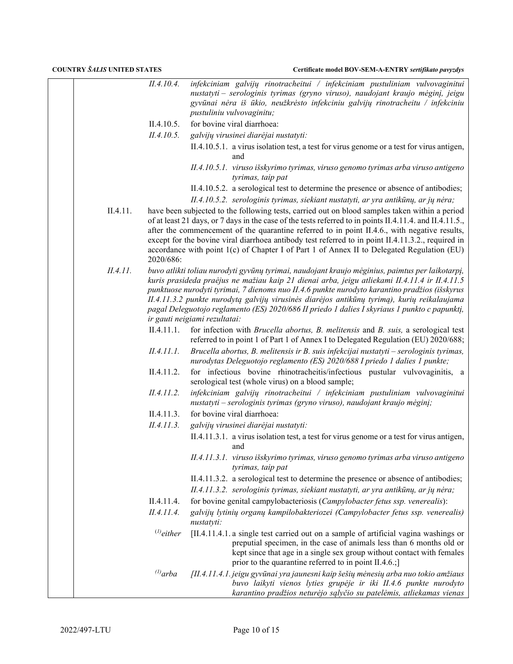|                                           |          | II.4.10.4.                                                                                                                                                                                                                                                                                                                                                                                                                                                                                        | infekciniam galvijų rinotracheitui / infekciniam pustuliniam vulvovaginitui                                                                                                                                                                                                                                                                                                                                                                                                                                     |
|-------------------------------------------|----------|---------------------------------------------------------------------------------------------------------------------------------------------------------------------------------------------------------------------------------------------------------------------------------------------------------------------------------------------------------------------------------------------------------------------------------------------------------------------------------------------------|-----------------------------------------------------------------------------------------------------------------------------------------------------------------------------------------------------------------------------------------------------------------------------------------------------------------------------------------------------------------------------------------------------------------------------------------------------------------------------------------------------------------|
|                                           |          |                                                                                                                                                                                                                                                                                                                                                                                                                                                                                                   | nustatyti - serologinis tyrimas (gryno viruso), naudojant kraujo mėginį, jeigu                                                                                                                                                                                                                                                                                                                                                                                                                                  |
|                                           |          |                                                                                                                                                                                                                                                                                                                                                                                                                                                                                                   | gyvūnai nėra iš ūkio, neužkrėsto infekciniu galvijų rinotracheitu / infekciniu<br>pustuliniu vulvovaginitu;                                                                                                                                                                                                                                                                                                                                                                                                     |
|                                           |          | II.4.10.5.                                                                                                                                                                                                                                                                                                                                                                                                                                                                                        | for bovine viral diarrhoea:                                                                                                                                                                                                                                                                                                                                                                                                                                                                                     |
|                                           |          | II.4.10.5.                                                                                                                                                                                                                                                                                                                                                                                                                                                                                        | galvijų virusinei diarėjai nustatyti:                                                                                                                                                                                                                                                                                                                                                                                                                                                                           |
|                                           |          |                                                                                                                                                                                                                                                                                                                                                                                                                                                                                                   | II.4.10.5.1. a virus isolation test, a test for virus genome or a test for virus antigen,<br>and                                                                                                                                                                                                                                                                                                                                                                                                                |
|                                           |          |                                                                                                                                                                                                                                                                                                                                                                                                                                                                                                   | II.4.10.5.1. viruso išskyrimo tyrimas, viruso genomo tyrimas arba viruso antigeno<br>tyrimas, taip pat                                                                                                                                                                                                                                                                                                                                                                                                          |
|                                           |          |                                                                                                                                                                                                                                                                                                                                                                                                                                                                                                   | II.4.10.5.2. a serological test to determine the presence or absence of antibodies;                                                                                                                                                                                                                                                                                                                                                                                                                             |
|                                           |          |                                                                                                                                                                                                                                                                                                                                                                                                                                                                                                   | II.4.10.5.2. serologinis tyrimas, siekiant nustatyti, ar yra antikūnų, ar jų nėra;                                                                                                                                                                                                                                                                                                                                                                                                                              |
|                                           | II.4.11. | 2020/686:                                                                                                                                                                                                                                                                                                                                                                                                                                                                                         | have been subjected to the following tests, carried out on blood samples taken within a period<br>of at least 21 days, or 7 days in the case of the tests referred to in points II.4.11.4. and II.4.11.5.,<br>after the commencement of the quarantine referred to in point II.4.6., with negative results,<br>except for the bovine viral diarrhoea antibody test referred to in point II.4.11.3.2., required in<br>accordance with point 1(c) of Chapter I of Part 1 of Annex II to Delegated Regulation (EU) |
| II.4.11.<br>ir gauti neigiami rezultatai: |          | buvo atlikti toliau nurodyti gyvūnų tyrimai, naudojant kraujo mėginius, paimtus per laikotarpį,<br>kuris prasideda praėjus ne mažiau kaip 21 dienai arba, jeigu atliekami II.4.11.4 ir II.4.11.5<br>punktuose nurodyti tyrimai, 7 dienoms nuo II.4.6 punkte nurodyto karantino pradžios (išskyrus<br>II.4.11.3.2 punkte nurodytą galvijų virusinės diarėjos antikūnų tyrimą), kurių reikalaujama<br>pagal Deleguotojo reglamento (ES) 2020/686 II priedo 1 dalies I skyriaus 1 punkto c papunkti, |                                                                                                                                                                                                                                                                                                                                                                                                                                                                                                                 |
|                                           |          | II.4.11.1.                                                                                                                                                                                                                                                                                                                                                                                                                                                                                        | for infection with <i>Brucella abortus</i> , <i>B. melitensis</i> and <i>B. suis</i> , a serological test<br>referred to in point 1 of Part 1 of Annex I to Delegated Regulation (EU) 2020/688;                                                                                                                                                                                                                                                                                                                 |
|                                           |          | II.4.11.1.                                                                                                                                                                                                                                                                                                                                                                                                                                                                                        | Brucella abortus, B. melitensis ir B. suis infekcijai nustatyti – serologinis tyrimas,<br>nurodytas Deleguotojo reglamento (ES) 2020/688 I priedo 1 dalies 1 punkte;                                                                                                                                                                                                                                                                                                                                            |
|                                           |          | II.4.11.2.                                                                                                                                                                                                                                                                                                                                                                                                                                                                                        | for infectious bovine rhinotracheitis/infectious pustular vulvovaginitis, a<br>serological test (whole virus) on a blood sample;                                                                                                                                                                                                                                                                                                                                                                                |
|                                           |          | II.4.11.2.                                                                                                                                                                                                                                                                                                                                                                                                                                                                                        | infekciniam galvijų rinotracheitui / infekciniam pustuliniam vulvovaginitui<br>nustatyti – serologinis tyrimas (gryno viruso), naudojant kraujo mėginį;                                                                                                                                                                                                                                                                                                                                                         |
|                                           |          | II.4.11.3.                                                                                                                                                                                                                                                                                                                                                                                                                                                                                        | for bovine viral diarrhoea:                                                                                                                                                                                                                                                                                                                                                                                                                                                                                     |
|                                           |          | II.4.11.3.                                                                                                                                                                                                                                                                                                                                                                                                                                                                                        | galvijų virusinei diarėjai nustatyti:                                                                                                                                                                                                                                                                                                                                                                                                                                                                           |
|                                           |          |                                                                                                                                                                                                                                                                                                                                                                                                                                                                                                   | II.4.11.3.1. a virus isolation test, a test for virus genome or a test for virus antigen,<br>and                                                                                                                                                                                                                                                                                                                                                                                                                |
|                                           |          |                                                                                                                                                                                                                                                                                                                                                                                                                                                                                                   | II.4.11.3.1. viruso išskyrimo tyrimas, viruso genomo tyrimas arba viruso antigeno<br>tyrimas, taip pat                                                                                                                                                                                                                                                                                                                                                                                                          |
|                                           |          |                                                                                                                                                                                                                                                                                                                                                                                                                                                                                                   | II.4.11.3.2. a serological test to determine the presence or absence of antibodies;                                                                                                                                                                                                                                                                                                                                                                                                                             |
|                                           |          |                                                                                                                                                                                                                                                                                                                                                                                                                                                                                                   | II.4.11.3.2. serologinis tyrimas, siekiant nustatyti, ar yra antikūnų, ar jų nėra;                                                                                                                                                                                                                                                                                                                                                                                                                              |
|                                           |          | II.4.11.4.                                                                                                                                                                                                                                                                                                                                                                                                                                                                                        | for bovine genital campylobacteriosis (Campylobacter fetus ssp. venerealis):                                                                                                                                                                                                                                                                                                                                                                                                                                    |
|                                           |          | II.4.11.4.                                                                                                                                                                                                                                                                                                                                                                                                                                                                                        | galvijų lytinių organų kampilobakteriozei (Campylobacter fetus ssp. venerealis)<br>nustatyti:                                                                                                                                                                                                                                                                                                                                                                                                                   |
|                                           |          | $^{(1)}$ either                                                                                                                                                                                                                                                                                                                                                                                                                                                                                   | [II.4.11.4.1.a single test carried out on a sample of artificial vagina washings or<br>preputial specimen, in the case of animals less than 6 months old or<br>kept since that age in a single sex group without contact with females<br>prior to the quarantine referred to in point $II.4.6$ .;                                                                                                                                                                                                               |
|                                           |          | $^{(1)}$ arba                                                                                                                                                                                                                                                                                                                                                                                                                                                                                     | [II.4.11.4.1. jeigu gyvūnai yra jaunesni kaip šešių mėnesių arba nuo tokio amžiaus<br>buvo laikyti vienos lyties grupėje ir iki II.4.6 punkte nurodyto<br>karantino pradžios neturėjo sąlyčio su patelėmis, atliekamas vienas                                                                                                                                                                                                                                                                                   |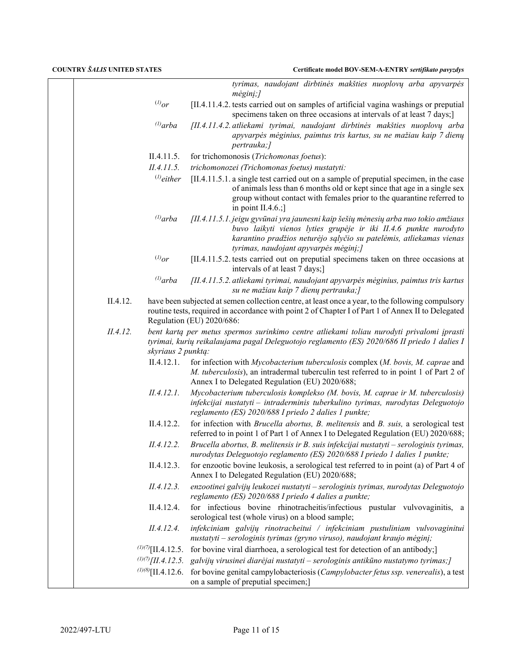|                                                                                                                                                                                                                                                  |                          | tyrimas, naudojant dirbtinės makšties nuoplovų arba apyvarpės<br>$m\dot{e}$ ginį;]                                                                                                                                                                                     |
|--------------------------------------------------------------------------------------------------------------------------------------------------------------------------------------------------------------------------------------------------|--------------------------|------------------------------------------------------------------------------------------------------------------------------------------------------------------------------------------------------------------------------------------------------------------------|
|                                                                                                                                                                                                                                                  | $^{(l)}or$               | [II.4.11.4.2. tests carried out on samples of artificial vagina washings or preputial<br>specimens taken on three occasions at intervals of at least 7 days;]                                                                                                          |
|                                                                                                                                                                                                                                                  | $^{(1)}$ arba            | [II.4.11.4.2. atliekami tyrimai, naudojant dirbtinės makšties nuoplovų arba<br>apyvarpės mėginius, paimtus tris kartus, su ne mažiau kaip 7 dienų<br>pertrauka;]                                                                                                       |
|                                                                                                                                                                                                                                                  | II.4.11.5.               | for trichomonosis (Trichomonas foetus):                                                                                                                                                                                                                                |
|                                                                                                                                                                                                                                                  | II.4.11.5.               | trichomonozei (Trichomonas foetus) nustatyti:                                                                                                                                                                                                                          |
|                                                                                                                                                                                                                                                  | $^{(1)}$ either          | [II.4.11.5.1. a single test carried out on a sample of preputial specimen, in the case<br>of animals less than 6 months old or kept since that age in a single sex<br>group without contact with females prior to the quarantine referred to<br>in point II.4.6.;      |
|                                                                                                                                                                                                                                                  | $^{(1)}$ arba            | [II.4.11.5.1. jeigu gyvūnai yra jaunesni kaip šešių mėnesių arba nuo tokio amžiaus<br>buvo laikyti vienos lyties grupėje ir iki II.4.6 punkte nurodyto<br>karantino pradžios neturėjo sąlyčio su patelėmis, atliekamas vienas<br>tyrimas, naudojant apyvarpės mėginį;] |
|                                                                                                                                                                                                                                                  | $^{(l)}$ or              | [II.4.11.5.2. tests carried out on preputial specimens taken on three occasions at<br>intervals of at least 7 days;]                                                                                                                                                   |
|                                                                                                                                                                                                                                                  | $^{(1)}$ arba            | [II.4.11.5.2. atliekami tyrimai, naudojant apyvarpės mėginius, paimtus tris kartus<br>su ne mažiau kaip 7 dienų pertrauka;]                                                                                                                                            |
| II.4.12.<br>have been subjected at semen collection centre, at least once a year, to the following compulsory<br>routine tests, required in accordance with point 2 of Chapter I of Part 1 of Annex II to Delegated<br>Regulation (EU) 2020/686: |                          |                                                                                                                                                                                                                                                                        |
| II.4.12.<br>bent kartą per metus spermos surinkimo centre atliekami toliau nurodyti privalomi įprasti<br>tyrimai, kurių reikalaujama pagal Deleguotojo reglamento (ES) 2020/686 II priedo 1 dalies I<br>skyriaus 2 punktą:                       |                          |                                                                                                                                                                                                                                                                        |
|                                                                                                                                                                                                                                                  | II.4.12.1.               | for infection with Mycobacterium tuberculosis complex (M. bovis, M. caprae and<br>M. tuberculosis), an intradermal tuberculin test referred to in point 1 of Part 2 of<br>Annex I to Delegated Regulation (EU) 2020/688;                                               |
|                                                                                                                                                                                                                                                  | II.4.12.1.               | Mycobacterium tuberculosis komplekso (M. bovis, M. caprae ir M. tuberculosis)<br>infekcijai nustatyti - intraderminis tuberkulino tyrimas, nurodytas Deleguotojo<br>reglamento (ES) 2020/688 I priedo 2 dalies 1 punkte;                                               |
|                                                                                                                                                                                                                                                  | II.4.12.2.               | for infection with Brucella abortus, B. melitensis and B. suis, a serological test<br>referred to in point 1 of Part 1 of Annex I to Delegated Regulation (EU) 2020/688;                                                                                               |
|                                                                                                                                                                                                                                                  | II.4.12.2.               | Brucella abortus, B. melitensis ir B. suis infekcijai nustatyti – serologinis tyrimas,<br>nurodytas Deleguotojo reglamento (ES) 2020/688 I priedo 1 dalies 1 punkte;                                                                                                   |
|                                                                                                                                                                                                                                                  | II.4.12.3.               | for enzootic bovine leukosis, a serological test referred to in point (a) of Part 4 of<br>Annex I to Delegated Regulation (EU) 2020/688;                                                                                                                               |
|                                                                                                                                                                                                                                                  | II.4.12.3.               | enzootinei galvijų leukozei nustatyti - serologinis tyrimas, nurodytas Deleguotojo<br>reglamento (ES) 2020/688 I priedo 4 dalies a punkte;                                                                                                                             |
|                                                                                                                                                                                                                                                  | II.4.12.4.               | for infectious bovine rhinotracheitis/infectious pustular vulvovaginitis, a<br>serological test (whole virus) on a blood sample;                                                                                                                                       |
|                                                                                                                                                                                                                                                  | II.4.12.4.               | infekciniam galvijų rinotracheitui / infekciniam pustuliniam vulvovaginitui<br>nustatyti - serologinis tyrimas (gryno viruso), naudojant kraujo mėginį;                                                                                                                |
|                                                                                                                                                                                                                                                  |                          | $\frac{\partial}{\partial  \Pi_1 }$ 12.5. for bovine viral diarrhoea, a serological test for detection of an antibody;                                                                                                                                                 |
|                                                                                                                                                                                                                                                  | $^{(1)(7)}$ [II.4.12.5.] | galvijų virusinei diarėjai nustatyti – serologinis antikūno nustatymo tyrimas; [                                                                                                                                                                                       |
|                                                                                                                                                                                                                                                  | $(1)(8)$ [II.4.12.6.]    | for bovine genital campylobacteriosis (Campylobacter fetus ssp. venerealis), a test<br>on a sample of preputial specimen;]                                                                                                                                             |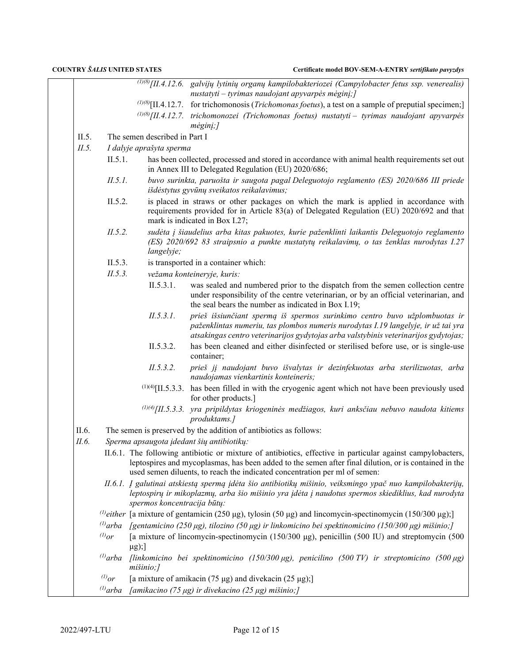|       |               |                               | $\frac{(1)}{(1)}$ (8) [II.4.12.6. galvijų lytinių organų kampilobakteriozei (Campylobacter fetus ssp. venerealis)<br>$nustatyti - tyrimas naudojant apyvarpės mėginį;$                                                                                                                             |
|-------|---------------|-------------------------------|----------------------------------------------------------------------------------------------------------------------------------------------------------------------------------------------------------------------------------------------------------------------------------------------------|
|       |               |                               | $^{(1)$ (8)[II.4.12.7. for trichomonosis ( <i>Trichomonas foetus</i> ), a test on a sample of preputial specimen;                                                                                                                                                                                  |
|       |               |                               | $^{(1)(8)}$ [II.4.12.7. trichomonozei (Trichomonas foetus) nustatyti - tyrimas naudojant apyvarpės                                                                                                                                                                                                 |
|       |               |                               | $m \dot{eg} \dot{in}$ ;]                                                                                                                                                                                                                                                                           |
| II.5. |               | The semen described in Part I |                                                                                                                                                                                                                                                                                                    |
| II.5. |               | I dalyje aprašyta sperma      |                                                                                                                                                                                                                                                                                                    |
|       | II.5.1.       |                               | has been collected, processed and stored in accordance with animal health requirements set out<br>in Annex III to Delegated Regulation (EU) 2020/686;                                                                                                                                              |
|       | II.5.1.       |                               | buvo surinkta, paruošta ir saugota pagal Deleguotojo reglamento (ES) 2020/686 III priede<br>išdėstytus gyvūnų sveikatos reikalavimus;                                                                                                                                                              |
|       | II.5.2.       |                               | is placed in straws or other packages on which the mark is applied in accordance with<br>requirements provided for in Article 83(a) of Delegated Regulation (EU) 2020/692 and that<br>mark is indicated in Box I.27;                                                                               |
|       | II.5.2.       | langelyje;                    | sudėta į šiaudelius arba kitas pakuotes, kurie paženklinti laikantis Deleguotojo reglamento<br>(ES) 2020/692 83 straipsnio a punkte nustatytų reikalavimų, o tas ženklas nurodytas I.27                                                                                                            |
|       | II.5.3.       |                               | is transported in a container which:                                                                                                                                                                                                                                                               |
|       | II.5.3.       |                               | vežama konteineryje, kuris:                                                                                                                                                                                                                                                                        |
|       |               | II.5.3.1.                     | was sealed and numbered prior to the dispatch from the semen collection centre<br>under responsibility of the centre veterinarian, or by an official veterinarian, and<br>the seal bears the number as indicated in Box I.19;                                                                      |
|       |               | II.5.3.1.                     | prieš išsiunčiant spermą iš spermos surinkimo centro buvo užplombuotas ir<br>paženklintas numeriu, tas plombos numeris nurodytas I.19 langelyje, ir už tai yra<br>atsakingas centro veterinarijos gydytojas arba valstybinis veterinarijos gydytojas;                                              |
|       |               | II.5.3.2.                     | has been cleaned and either disinfected or sterilised before use, or is single-use<br>container;                                                                                                                                                                                                   |
|       |               | II.5.3.2.                     | prieš jį naudojant buvo išvalytas ir dezinfekuotas arba sterilizuotas, arba<br>naudojamas vienkartinis konteineris;                                                                                                                                                                                |
|       |               |                               | $^{(1)(4)}$ [II.5.3.3. has been filled in with the cryogenic agent which not have been previously used<br>for other products.]                                                                                                                                                                     |
|       |               |                               | $^{(1)(4)}$ [II.5.3.3. yra pripildytas kriogeninės medžiagos, kuri anksčiau nebuvo naudota kitiems<br>produktams.]                                                                                                                                                                                 |
| II.6. |               |                               | The semen is preserved by the addition of antibiotics as follows:                                                                                                                                                                                                                                  |
| II.6. |               |                               | Sperma apsaugota įdedant šių antibiotikų:                                                                                                                                                                                                                                                          |
|       |               |                               | II.6.1. The following antibiotic or mixture of antibiotics, effective in particular against campylobacters,<br>leptospires and mycoplasmas, has been added to the semen after final dilution, or is contained in the<br>used semen diluents, to reach the indicated concentration per ml of semen: |
|       |               | spermos koncentracija būtų:   | II.6.1. Į galutinai atskiestą spermą įdėta šio antibiotikų mišinio, veiksmingo ypač nuo kampilobakterijų,<br>leptospirų ir mikoplazmų, arba šio mišinio yra įdėta į naudotus spermos skiediklius, kad nurodyta                                                                                     |
|       |               |                               | <sup>(1)</sup> either [a mixture of gentamicin (250 µg), tylosin (50 µg) and lincomycin-spectinomycin (150/300 µg);]                                                                                                                                                                               |
|       |               |                               | <sup>(1)</sup> arba [gentamicino (250 μg), tilozino (50 μg) ir linkomicino bei spektinomicino (150/300 μg) mišinio;]                                                                                                                                                                               |
|       | $^{(l)}$ or   | $\mu$ g);]                    | [a mixture of lincomycin-spectinomycin (150/300 μg), penicillin (500 IU) and streptomycin (500                                                                                                                                                                                                     |
|       | $^{(1)}$ arba | mišinio;]                     | [linkomicino bei spektinomicino (150/300 $\mu$ g), penicilino (500 TV) ir streptomicino (500 $\mu$ g)                                                                                                                                                                                              |
|       | $^{(1)}$ or   |                               | [a mixture of amikacin (75 $\mu$ g) and divekacin (25 $\mu$ g);]                                                                                                                                                                                                                                   |
|       |               |                               | <sup>(1)</sup> arba [amikacino (75 µg) ir divekacino (25 µg) mišinio;]                                                                                                                                                                                                                             |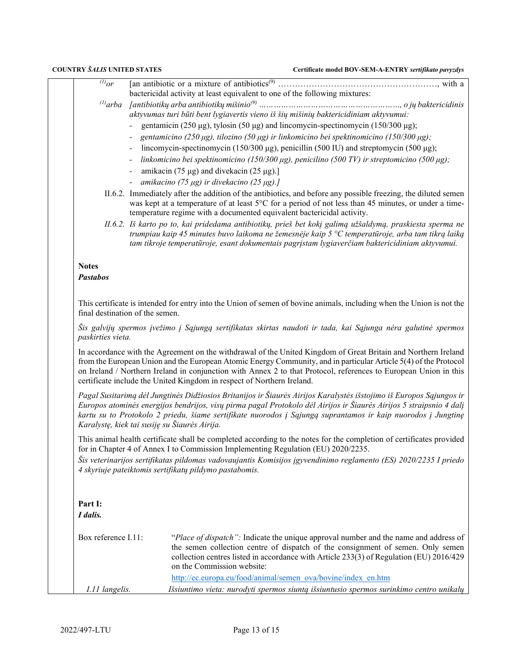| $\overline{^{(l)}or}$           |                                                                                                                                                                                                                                                                                                                                                                                                                                                                                                                                                                                |  |  |  |
|---------------------------------|--------------------------------------------------------------------------------------------------------------------------------------------------------------------------------------------------------------------------------------------------------------------------------------------------------------------------------------------------------------------------------------------------------------------------------------------------------------------------------------------------------------------------------------------------------------------------------|--|--|--|
|                                 | bactericidal activity at least equivalent to one of the following mixtures:                                                                                                                                                                                                                                                                                                                                                                                                                                                                                                    |  |  |  |
| $^{(l)}$ arba                   |                                                                                                                                                                                                                                                                                                                                                                                                                                                                                                                                                                                |  |  |  |
|                                 | aktyvumas turi būti bent lygiavertis vieno iš šių mišinių baktericidiniam aktyvumui:                                                                                                                                                                                                                                                                                                                                                                                                                                                                                           |  |  |  |
|                                 | gentamicin (250 µg), tylosin (50 µg) and lincomycin-spectinomycin (150/300 µg);                                                                                                                                                                                                                                                                                                                                                                                                                                                                                                |  |  |  |
|                                 | gentamicino (250 µg), tilozino (50 µg) ir linkomicino bei spektinomicino (150/300 µg);                                                                                                                                                                                                                                                                                                                                                                                                                                                                                         |  |  |  |
|                                 | lincomycin-spectinomycin (150/300 µg), penicillin (500 IU) and streptomycin (500 µg);                                                                                                                                                                                                                                                                                                                                                                                                                                                                                          |  |  |  |
|                                 | linkomicino bei spektinomicino (150/300 $\mu$ g), penicilino (500 TV) ir streptomicino (500 $\mu$ g);                                                                                                                                                                                                                                                                                                                                                                                                                                                                          |  |  |  |
|                                 | amikacin (75 µg) and divekacin (25 µg).]                                                                                                                                                                                                                                                                                                                                                                                                                                                                                                                                       |  |  |  |
|                                 | amikacino (75 µg) ir divekacino (25 µg).]                                                                                                                                                                                                                                                                                                                                                                                                                                                                                                                                      |  |  |  |
|                                 | II.6.2. Immediately after the addition of the antibiotics, and before any possible freezing, the diluted semen<br>was kept at a temperature of at least 5°C for a period of not less than 45 minutes, or under a time-<br>temperature regime with a documented equivalent bactericidal activity.                                                                                                                                                                                                                                                                               |  |  |  |
|                                 | II.6.2. Iš karto po to, kai pridedama antibiotikų, prieš bet kokį galimą užšaldymą, praskiesta sperma ne<br>trumpiau kaip 45 minutes buvo laikoma ne žemesnėje kaip 5 °C temperatūroje, arba tam tikrą laiką<br>tam tikroje temperatūroje, esant dokumentais pagrįstam lygiaverčiam baktericidiniam aktyvumui.                                                                                                                                                                                                                                                                 |  |  |  |
| <b>Notes</b><br><b>Pastabos</b> |                                                                                                                                                                                                                                                                                                                                                                                                                                                                                                                                                                                |  |  |  |
|                                 |                                                                                                                                                                                                                                                                                                                                                                                                                                                                                                                                                                                |  |  |  |
|                                 | This certificate is intended for entry into the Union of semen of bovine animals, including when the Union is not the<br>final destination of the semen.                                                                                                                                                                                                                                                                                                                                                                                                                       |  |  |  |
| paskirties vieta.               | Šis galvijų spermos įvežimo į Sąjungą sertifikatas skirtas naudoti ir tada, kai Sąjunga nėra galutinė spermos                                                                                                                                                                                                                                                                                                                                                                                                                                                                  |  |  |  |
|                                 | In accordance with the Agreement on the withdrawal of the United Kingdom of Great Britain and Northern Ireland<br>from the European Union and the European Atomic Energy Community, and in particular Article 5(4) of the Protocol<br>on Ireland / Northern Ireland in conjunction with Annex 2 to that Protocol, references to European Union in this<br>certificate include the United Kingdom in respect of Northern Ireland.                                                                                                                                               |  |  |  |
|                                 | Pagal Susitarimą dėl Jungtinės Didžiosios Britanijos ir Šiaurės Airijos Karalystės išstojimo iš Europos Sąjungos ir<br>Europos atominės energijos bendrijos, visų pirma pagal Protokolo dėl Airijos ir Šiaurės Airijos 5 straipsnio 4 dalį<br>kartu su to Protokolo 2 priedu, šiame sertifikate nuorodos į Sąjungą suprantamos ir kaip nuorodos į Jungtinę<br>Karalystę, kiek tai susiję su Šiaurės Airija.                                                                                                                                                                    |  |  |  |
|                                 |                                                                                                                                                                                                                                                                                                                                                                                                                                                                                                                                                                                |  |  |  |
|                                 | for in Chapter 4 of Annex I to Commission Implementing Regulation (EU) 2020/2235.                                                                                                                                                                                                                                                                                                                                                                                                                                                                                              |  |  |  |
|                                 | 4 skyriuje pateiktomis sertifikatų pildymo pastabomis.                                                                                                                                                                                                                                                                                                                                                                                                                                                                                                                         |  |  |  |
| Part I:                         |                                                                                                                                                                                                                                                                                                                                                                                                                                                                                                                                                                                |  |  |  |
|                                 |                                                                                                                                                                                                                                                                                                                                                                                                                                                                                                                                                                                |  |  |  |
| I dalis.<br>Box reference I.11: | on the Commission website:                                                                                                                                                                                                                                                                                                                                                                                                                                                                                                                                                     |  |  |  |
|                                 | This animal health certificate shall be completed according to the notes for the completion of certificates provided<br>Šis veterinarijos sertifikatas pildomas vadovaujantis Komisijos įgyvendinimo reglamento (ES) 2020/2235 I priedo<br>"Place of dispatch": Indicate the unique approval number and the name and address of<br>the semen collection centre of dispatch of the consignment of semen. Only semen<br>collection centres listed in accordance with Article 233(3) of Regulation (EU) 2016/429<br>http://ec.europa.eu/food/animal/semen_ova/bovine/index_en.htm |  |  |  |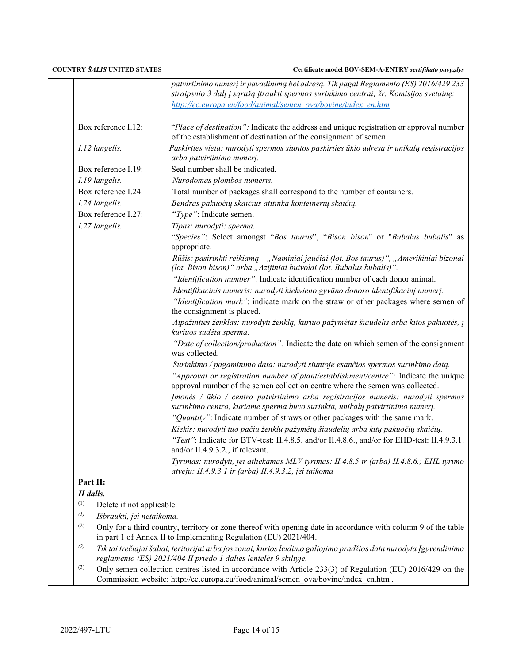|                   |                                                                                                                                                                                                 | patvirtinimo numerį ir pavadinimą bei adresą. Tik pagal Reglamento (ES) 2016/429 233<br>straipsnio 3 dalį į sąrašą įtraukti spermos surinkimo centrai; žr. Komisijos svetainę: |
|-------------------|-------------------------------------------------------------------------------------------------------------------------------------------------------------------------------------------------|--------------------------------------------------------------------------------------------------------------------------------------------------------------------------------|
|                   |                                                                                                                                                                                                 | http://ec.europa.eu/food/animal/semen_ova/bovine/index_en.htm                                                                                                                  |
|                   | Box reference I.12:                                                                                                                                                                             | "Place of destination": Indicate the address and unique registration or approval number<br>of the establishment of destination of the consignment of semen.                    |
|                   | I.12 langelis.                                                                                                                                                                                  | Paskirties vieta: nurodyti spermos siuntos paskirties ūkio adresą ir unikalų registracijos<br>arba patvirtinimo numerį.                                                        |
|                   | Box reference I.19:                                                                                                                                                                             | Seal number shall be indicated.                                                                                                                                                |
|                   | I.19 langelis.                                                                                                                                                                                  | Nurodomas plombos numeris.                                                                                                                                                     |
|                   | Box reference I.24:                                                                                                                                                                             | Total number of packages shall correspond to the number of containers.                                                                                                         |
|                   | I.24 langelis.                                                                                                                                                                                  | Bendras pakuočių skaičius atitinka konteinerių skaičių.                                                                                                                        |
|                   | Box reference I.27:                                                                                                                                                                             | "Type": Indicate semen.                                                                                                                                                        |
|                   | I.27 langelis.                                                                                                                                                                                  | Tipas: nurodyti: sperma.                                                                                                                                                       |
|                   |                                                                                                                                                                                                 | "Species": Select amongst "Bos taurus", "Bison bison" or "Bubalus bubalis" as<br>appropriate.                                                                                  |
|                   |                                                                                                                                                                                                 | Rūšis: pasirinkti reikiamą – "Naminiai jaučiai (lot. Bos taurus)", "Amerikiniai bizonai<br>(lot. Bison bison)" arba "Azijiniai buivolai (lot. Bubalus bubalis)".               |
|                   |                                                                                                                                                                                                 | "Identification number": Indicate identification number of each donor animal.                                                                                                  |
|                   |                                                                                                                                                                                                 | Identifikacinis numeris: nurodyti kiekvieno gyvūno donoro identifikacinį numerį.                                                                                               |
|                   |                                                                                                                                                                                                 | "Identification mark": indicate mark on the straw or other packages where semen of<br>the consignment is placed.                                                               |
|                   |                                                                                                                                                                                                 | Atpažinties ženklas: nurodyti ženklą, kuriuo pažymėtas šiaudelis arba kitos pakuotės, į<br>kuriuos sudėta sperma.                                                              |
|                   |                                                                                                                                                                                                 | "Date of collection/production": Indicate the date on which semen of the consignment<br>was collected.                                                                         |
|                   |                                                                                                                                                                                                 | Surinkimo / pagaminimo data: nurodyti siuntoje esančios spermos surinkimo datą.                                                                                                |
|                   |                                                                                                                                                                                                 | "Approval or registration number of plant/establishment/centre": Indicate the unique<br>approval number of the semen collection centre where the semen was collected.          |
|                   |                                                                                                                                                                                                 | Imonės / ūkio / centro patvirtinimo arba registracijos numeris: nurodyti spermos<br>surinkimo centro, kuriame sperma buvo surinkta, unikalų patvirtinimo numerį.               |
|                   |                                                                                                                                                                                                 | "Quantity": Indicate number of straws or other packages with the same mark.                                                                                                    |
|                   |                                                                                                                                                                                                 | Kiekis: nurodyti tuo pačiu ženklu pažymėtų šiaudelių arba kitų pakuočių skaičių.                                                                                               |
|                   |                                                                                                                                                                                                 | "Test": Indicate for BTV-test: II.4.8.5. and/or II.4.8.6., and/or for EHD-test: II.4.9.3.1.<br>and/or II.4.9.3.2., if relevant.                                                |
|                   |                                                                                                                                                                                                 | Tyrimas: nurodyti, jei atliekamas MLV tyrimas: II.4.8.5 ir (arba) II.4.8.6.; EHL tyrimo<br>atveju: II.4.9.3.1 ir (arba) II.4.9.3.2, jei taikoma                                |
| Part II:          |                                                                                                                                                                                                 |                                                                                                                                                                                |
| II dalis.         |                                                                                                                                                                                                 |                                                                                                                                                                                |
| (1)               | Delete if not applicable.                                                                                                                                                                       |                                                                                                                                                                                |
| $\left( l\right)$ | Išbraukti, jei netaikoma.                                                                                                                                                                       |                                                                                                                                                                                |
| (2)               | Only for a third country, territory or zone thereof with opening date in accordance with column 9 of the table<br>in part 1 of Annex II to Implementing Regulation (EU) 2021/404.               |                                                                                                                                                                                |
| (2)               | Tik tai trečiajai šaliai, teritorijai arba jos zonai, kurios leidimo galiojimo pradžios data nurodyta Įgyvendinimo<br>reglamento (ES) 2021/404 II priedo 1 dalies lentelės 9 skiltyje.          |                                                                                                                                                                                |
| (3)               | Only semen collection centres listed in accordance with Article 233(3) of Regulation (EU) 2016/429 on the<br>Commission website: http://ec.europa.eu/food/animal/semen_ova/bovine/index_en.htm. |                                                                                                                                                                                |